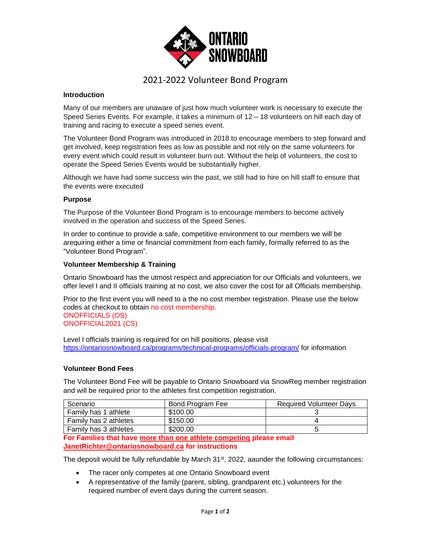

# 2021-2022 Volunteer Bond Program

### **Introduction**

Many of our members are unaware of just how much volunteer work is necessary to execute the Speed Series Events. For example, it takes a minimum of 12 – 18 volunteers on hill each day of training and racing to execute a speed series event.

The Volunteer Bond Program was introduced in 2018 to encourage members to step forward and get involved, keep registration fees as low as possible and not rely on the same volunteers for every event which could result in volunteer burn out. Without the help of volunteers, the cost to operate the Speed Series Events would be substantially higher.

Although we have had some success win the past, we still had to hire on hill staff to ensure that the events were executed

#### **Purpose**

The Purpose of the Volunteer Bond Program is to encourage members to become actively involved in the operation and success of the Speed Series.

In order to continue to provide a safe, competitive environment to our members we will be arequiring either a time or financial commitment from each family, formally referred to as the "Volunteer Bond Program".

#### **Volunteer Membership & Training**

Ontario Snowboard has the utmost respect and appreciation for our Officials and volunteers, we offer level I and II officials training at no cost, we also cover the cost for all Officials membership.

Prior to the first event you will need to a the no cost member registration. Please use the below codes at checkout to obtain no cost membership. ONOFFICIALS (OS) ONOFFICIAL2021 (CS)

Level I officials training is required for on hill positions, please visit <https://ontariosnowboard.ca/programs/technical-programs/officials-program/> for information

# **Volunteer Bond Fees**

The Volunteer Bond Fee will be payable to Ontario Snowboard via SnowReg member registration and will be required prior to the athletes first competition registration.

| Scenario              | Bond Program Fee | <b>Required Volunteer Days</b> |
|-----------------------|------------------|--------------------------------|
| Family has 1 athlete  | \$100.00         |                                |
| Family has 2 athletes | \$150.00         |                                |
| Family has 3 athletes | \$200.00         |                                |

**For Families that have more than one athlete competing please email [JanetRichter@ontariosnowboard.ca](mailto:JanetRichter@ontariosnowboard.ca) for instructions**

The deposit would be fully refundable by March 31<sup>st</sup>, 2022, aaunder the following circumstances:

- The racer only competes at one Ontario Snowboard event
- A representative of the family (parent, sibling, grandparent etc.) volunteers for the required number of event days during the current season.